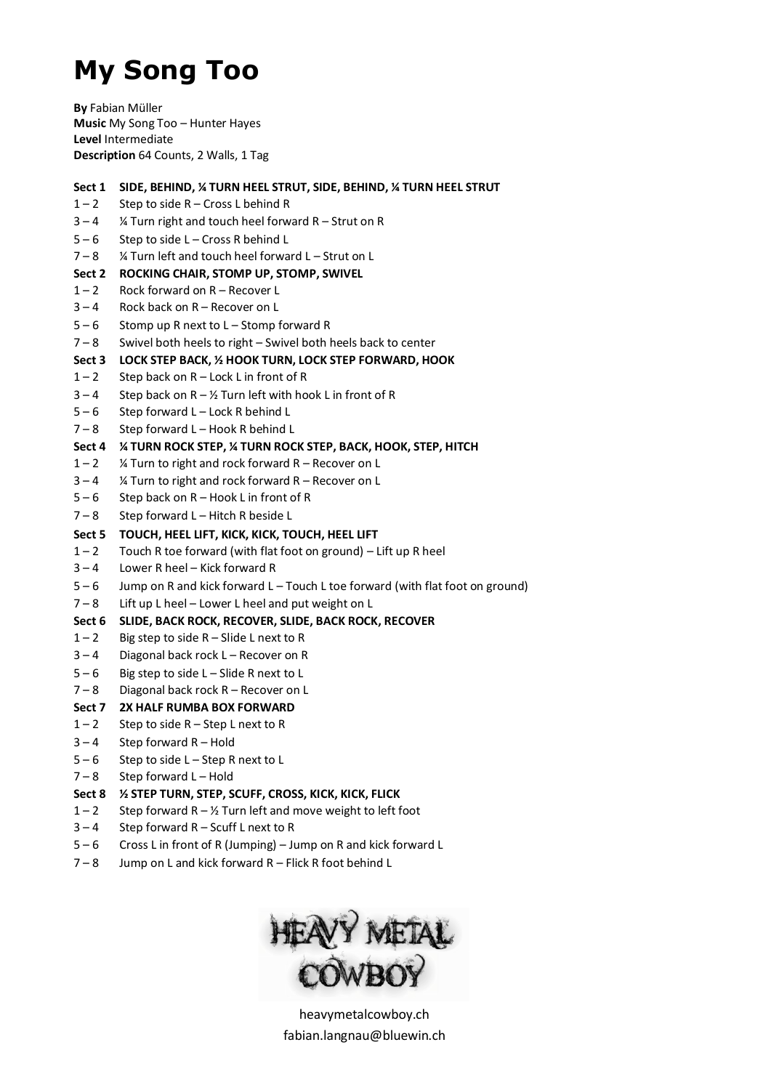# **My Song Too**

**By** Fabian Müller **Music** My Song Too – Hunter Hayes **Level** Intermediate **Description** 64 Counts, 2 Walls, 1 Tag

### **Sect 1 SIDE, BEHIND, ¼ TURN HEEL STRUT, SIDE, BEHIND, ¼ TURN HEEL STRUT**

- $1 2$  Step to side R Cross L behind R
- $3 4$  % Turn right and touch heel forward R Strut on R
- $5 6$  Step to side L Cross R behind L
- 7 8 ¼ Turn left and touch heel forward L Strut on L

#### **Sect 2 ROCKING CHAIR, STOMP UP, STOMP, SWIVEL**

- 1 2 Rock forward on R Recover L
- 3 4 Rock back on R Recover on L
- 5 6 Stomp up R next to L Stomp forward R
- 7 8 Swivel both heels to right Swivel both heels back to center

#### **Sect 3 LOCK STEP BACK, ½ HOOK TURN, LOCK STEP FORWARD, HOOK**

- $1 2$  Step back on R Lock L in front of R
- $3 4$  Step back on R 1/2 Turn left with hook L in front of R
- 5 6 Step forward L Lock R behind L
- $7 8$  Step forward L Hook R behind L

#### **Sect 4 ¼ TURN ROCK STEP, ¼ TURN ROCK STEP, BACK, HOOK, STEP, HITCH**

- $1 2$  % Turn to right and rock forward R Recover on L
- $3 4$  % Turn to right and rock forward R Recover on L
- 5 6 Step back on R Hook L in front of R
- 7 8 Step forward L Hitch R beside L

#### **Sect 5 TOUCH, HEEL LIFT, KICK, KICK, TOUCH, HEEL LIFT**

- $1 2$  Touch R toe forward (with flat foot on ground) Lift up R heel
- 3 4 Lower R heel Kick forward R
- 5 6 Jump on R and kick forward L Touch L toe forward (with flat foot on ground)
- 7 8 Lift up L heel Lower L heel and put weight on L

#### **Sect 6 SLIDE, BACK ROCK, RECOVER, SLIDE, BACK ROCK, RECOVER**

- $1 2$  Big step to side R Slide L next to R
- 3 4 Diagonal back rock L Recover on R
- 5 6 Big step to side L Slide R next to L
- 7 8 Diagonal back rock R Recover on L

#### **Sect 7 2X HALF RUMBA BOX FORWARD**

- $1 2$  Step to side R Step L next to R
- $3 4$  Step forward R Hold
- $5 6$  Step to side L Step R next to L<br> $7 8$  Step forward L Hold
- Step forward  $L$  Hold

#### **Sect 8 ½ STEP TURN, STEP, SCUFF, CROSS, KICK, KICK, FLICK**

- $1 2$  Step forward R 1/2 Turn left and move weight to left foot
- $3 4$  Step forward R Scuff L next to R
- $5 6$  Cross L in front of R (Jumping) Jump on R and kick forward L
- $7 8$  Jump on L and kick forward R Flick R foot behind L



heavymetalcowboy.ch [fabian.langnau@bluewin.ch](mailto:fabian.langnau@bluewin.ch)